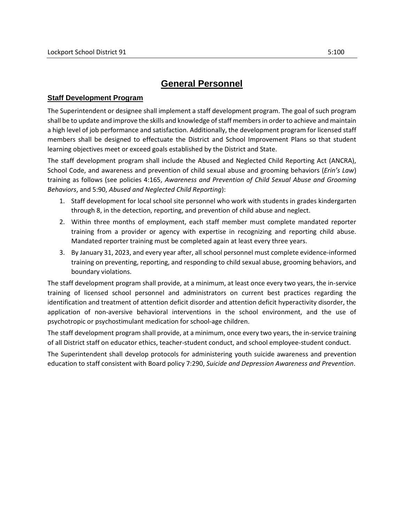## **General Personnel**

## **Staff Development Program**

The Superintendent or designee shall implement a staff development program. The goal of such program shall be to update and improve the skills and knowledge of staff members in order to achieve and maintain a high level of job performance and satisfaction. Additionally, the development program for licensed staff members shall be designed to effectuate the District and School Improvement Plans so that student learning objectives meet or exceed goals established by the District and State.

The staff development program shall include the Abused and Neglected Child Reporting Act (ANCRA), School Code, and awareness and prevention of child sexual abuse and grooming behaviors (*Erin's Law*) training as follows (see policies 4:165, *Awareness and Prevention of Child Sexual Abuse and Grooming Behaviors*, and 5:90, *Abused and Neglected Child Reporting*):

- 1. Staff development for local school site personnel who work with students in grades kindergarten through 8, in the detection, reporting, and prevention of child abuse and neglect.
- 2. Within three months of employment, each staff member must complete mandated reporter training from a provider or agency with expertise in recognizing and reporting child abuse. Mandated reporter training must be completed again at least every three years.
- 3. By January 31, 2023, and every year after, all school personnel must complete evidence-informed training on preventing, reporting, and responding to child sexual abuse, grooming behaviors, and boundary violations.

The staff development program shall provide, at a minimum, at least once every two years, the in-service training of licensed school personnel and administrators on current best practices regarding the identification and treatment of attention deficit disorder and attention deficit hyperactivity disorder, the application of non-aversive behavioral interventions in the school environment, and the use of psychotropic or psychostimulant medication for school-age children.

The staff development program shall provide, at a minimum, once every two years, the in-service training of all District staff on educator ethics, teacher-student conduct, and school employee-student conduct.

The Superintendent shall develop protocols for administering youth suicide awareness and prevention education to staff consistent with Board policy 7:290, *Suicide and Depression Awareness and Prevention*.